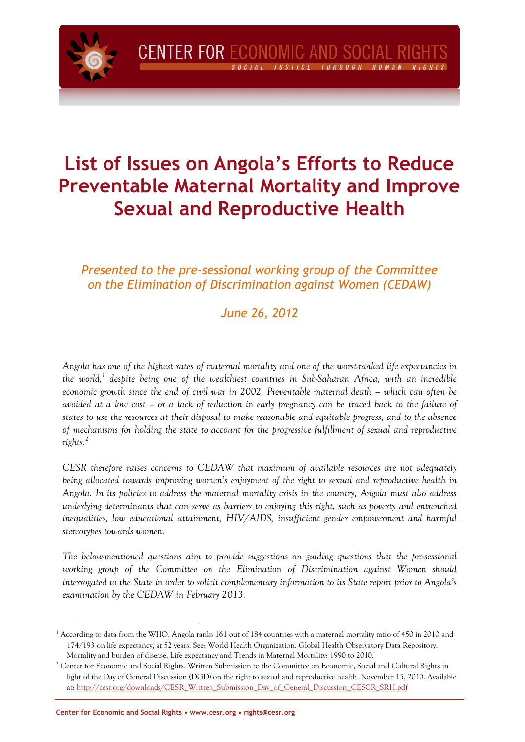# **List of Issues on Angola's Efforts to Reduce Preventable Maternal Mortality and Improve Sexual and Reproductive Health**

## *Presented to the pre-sessional working group of the Committee on the Elimination of Discrimination against Women (CEDAW)*

## *June 26, 2012*

*Angola has one of the highest rates of maternal mortality and one of the worst-ranked life expectancies in the world,<sup>1</sup> despite being one of the wealthiest countries in Sub-Saharan Africa, with an incredible economic growth since the end of civil war in 2002. Preventable maternal death – which can often be avoided at a low cost – or a lack of reduction in early pregnancy can be traced back to the failure of states to use the resources at their disposal to make reasonable and equitable progress, and to the absence of mechanisms for holding the state to account for the progressive fulfillment of sexual and reproductive rights.<sup>2</sup>* 

*CESR therefore raises concerns to CEDAW that maximum of available resources are not adequately being allocated towards improving women's enjoyment of the right to sexual and reproductive health in Angola. In its policies to address the maternal mortality crisis in the country, Angola must also address underlying determinants that can serve as barriers to enjoying this right, such as poverty and entrenched*  inequalities, low educational attainment, HIV/AIDS, insufficient gender empowerment and harmful *stereotypes towards women.* 

*The below-mentioned questions aim to provide suggestions on guiding questions that the pre-sessional working group of the Committee on the Elimination of Discrimination against Women should interrogated to the State in order to solicit complementary information to its State report prior to Angola's examination by the CEDAW in February 2013.* 

<sup>&</sup>lt;sup>1</sup> According to data from the WHO, Angola ranks 161 out of 184 countries with a maternal mortality ratio of 450 in 2010 and 174/193 on life expectancy, at 52 years. See: World Health Organization. Global Health Observatory Data Repository, Mortality and burden of disease, Life expectancy and Trends in Maternal Mortality: 1990 to 2010.

 $^2$  Center for Economic and Social Rights. Written Submission to the Committee on Economic, Social and Cultural Rights in light of the Day of General Discussion (DGD) on the right to sexual and reproductive health. November 15, 2010. Available at: http://cesr.org/downloads/CESR\_Written\_Submission\_Day\_of\_General\_Discussion\_CESCR\_SRH.pdf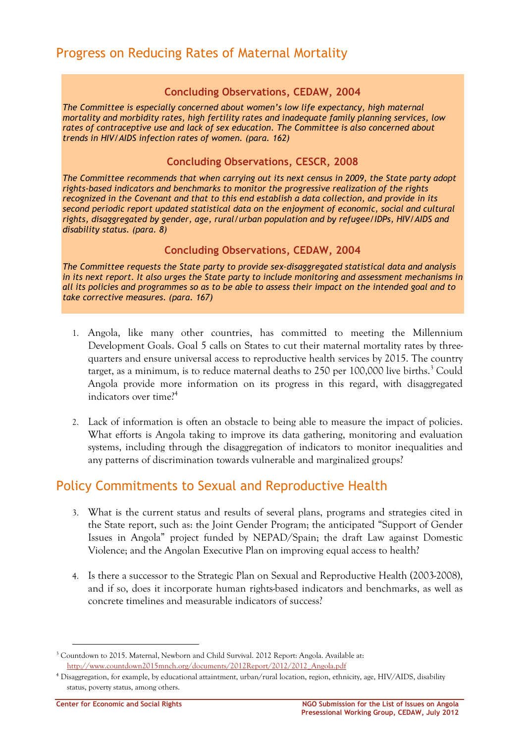#### **Concluding Observations, CEDAW, 2004**

*The Committee is especially concerned about women's low life expectancy, high maternal mortality and morbidity rates, high fertility rates and inadequate family planning services, low rates of contraceptive use and lack of sex education. The Committee is also concerned about trends in HIV/AIDS infection rates of women. (para. 162)*

#### **Concluding Observations, CESCR, 2008**

*The Committee recommends that when carrying out its next census in 2009, the State party adopt rights-based indicators and benchmarks to monitor the progressive realization of the rights recognized in the Covenant and that to this end establish a data collection, and provide in its second periodic report updated statistical data on the enjoyment of economic, social and cultural rights, disaggregated by gender, age, rural/urban population and by refugee/IDPs, HIV/AIDS and disability status. (para. 8)* 

#### **Concluding Observations, CEDAW, 2004**

*The Committee requests the State party to provide sex-disaggregated statistical data and analysis in its next report. It also urges the State party to include monitoring and assessment mechanisms in all its policies and programmes so as to be able to assess their impact on the intended goal and to take corrective measures. (para. 167)* 

- 1. Angola, like many other countries, has committed to meeting the Millennium Development Goals. Goal 5 calls on States to cut their maternal mortality rates by threequarters and ensure universal access to reproductive health services by 2015. The country target, as a minimum, is to reduce maternal deaths to 250 per 100,000 live births.<sup>3</sup> Could Angola provide more information on its progress in this regard, with disaggregated indicators over time?<sup>4</sup>
- 2. Lack of information is often an obstacle to being able to measure the impact of policies. What efforts is Angola taking to improve its data gathering, monitoring and evaluation systems, including through the disaggregation of indicators to monitor inequalities and any patterns of discrimination towards vulnerable and marginalized groups?

## Policy Commitments to Sexual and Reproductive Health

- 3. What is the current status and results of several plans, programs and strategies cited in the State report, such as: the Joint Gender Program; the anticipated "Support of Gender Issues in Angola" project funded by NEPAD/Spain; the draft Law against Domestic Violence; and the Angolan Executive Plan on improving equal access to health?
- 4. Is there a successor to the Strategic Plan on Sexual and Reproductive Health (2003-2008), and if so, does it incorporate human rights-based indicators and benchmarks, as well as concrete timelines and measurable indicators of success?

<sup>&</sup>lt;sup>3</sup> Countdown to 2015. Maternal, Newborn and Child Survival. 2012 Report: Angola. Available at: http://www.countdown2015mnch.org/documents/2012Report/2012/2012\_Angola.pdf

<sup>4</sup> Disaggregation, for example, by educational attaintment, urban/rural location, region, ethnicity, age, HIV/AIDS, disability status, poverty status, among others.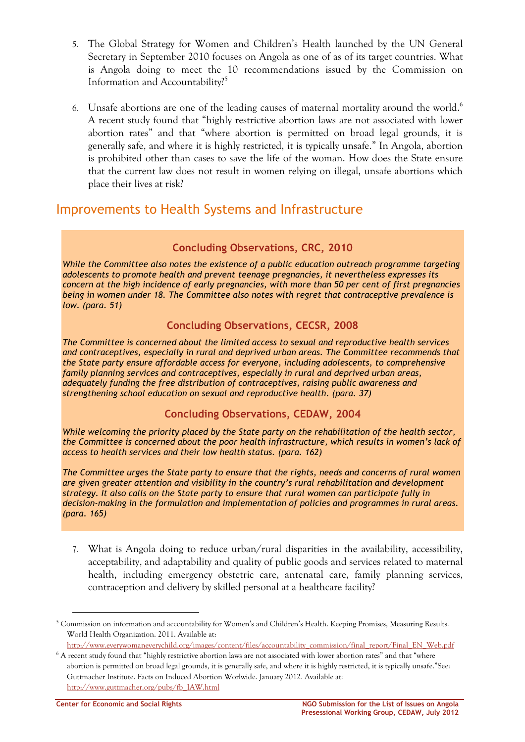- 5. The Global Strategy for Women and Children's Health launched by the UN General Secretary in September 2010 focuses on Angola as one of as of its target countries. What is Angola doing to meet the 10 recommendations issued by the Commission on Information and Accountability?<sup>5</sup>
- 6. Unsafe abortions are one of the leading causes of maternal mortality around the world.<sup>6</sup> A recent study found that "highly restrictive abortion laws are not associated with lower abortion rates" and that "where abortion is permitted on broad legal grounds, it is generally safe, and where it is highly restricted, it is typically unsafe." In Angola, abortion is prohibited other than cases to save the life of the woman. How does the State ensure that the current law does not result in women relying on illegal, unsafe abortions which place their lives at risk?

## Improvements to Health Systems and Infrastructure

### **Concluding Observations, CRC, 2010**

*While the Committee also notes the existence of a public education outreach programme targeting adolescents to promote health and prevent teenage pregnancies, it nevertheless expresses its concern at the high incidence of early pregnancies, with more than 50 per cent of first pregnancies being in women under 18. The Committee also notes with regret that contraceptive prevalence is low. (para. 51)* 

### **Concluding Observations, CECSR, 2008**

*The Committee is concerned about the limited access to sexual and reproductive health services and contraceptives, especially in rural and deprived urban areas. The Committee recommends that the State party ensure affordable access for everyone, including adolescents, to comprehensive family planning services and contraceptives, especially in rural and deprived urban areas, adequately funding the free distribution of contraceptives, raising public awareness and strengthening school education on sexual and reproductive health. (para. 37)* 

### **Concluding Observations, CEDAW, 2004**

*While welcoming the priority placed by the State party on the rehabilitation of the health sector, the Committee is concerned about the poor health infrastructure, which results in women's lack of access to health services and their low health status. (para. 162)* 

*The Committee urges the State party to ensure that the rights, needs and concerns of rural women are given greater attention and visibility in the country's rural rehabilitation and development strategy. It also calls on the State party to ensure that rural women can participate fully in decision-making in the formulation and implementation of policies and programmes in rural areas. (para. 165)* 

7. What is Angola doing to reduce urban/rural disparities in the availability, accessibility, acceptability, and adaptability and quality of public goods and services related to maternal health, including emergency obstetric care, antenatal care, family planning services, contraception and delivery by skilled personal at a healthcare facility?

<sup>&</sup>lt;sup>5</sup> Commission on information and accountability for Women's and Children's Health. Keeping Promises, Measuring Results. World Health Organization. 2011. Available at:

http://www.everywomaneverychild.org/images/content/files/accountability\_commission/final\_report/Final\_EN\_Web.pdf

<sup>6</sup> A recent study found that "highly restrictive abortion laws are not associated with lower abortion rates" and that "where abortion is permitted on broad legal grounds, it is generally safe, and where it is highly restricted, it is typically unsafe."See: Guttmacher Institute. Facts on Induced Abortion Worlwide. January 2012. Available at: http://www.guttmacher.org/pubs/fb\_IAW.html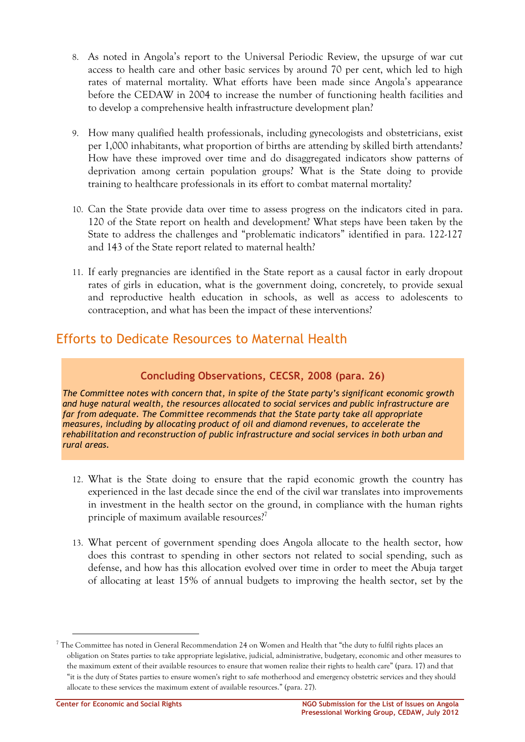- 8. As noted in Angola's report to the Universal Periodic Review, the upsurge of war cut access to health care and other basic services by around 70 per cent, which led to high rates of maternal mortality. What efforts have been made since Angola's appearance before the CEDAW in 2004 to increase the number of functioning health facilities and to develop a comprehensive health infrastructure development plan?
- 9. How many qualified health professionals, including gynecologists and obstetricians, exist per 1,000 inhabitants, what proportion of births are attending by skilled birth attendants? How have these improved over time and do disaggregated indicators show patterns of deprivation among certain population groups? What is the State doing to provide training to healthcare professionals in its effort to combat maternal mortality?
- 10. Can the State provide data over time to assess progress on the indicators cited in para. 120 of the State report on health and development? What steps have been taken by the State to address the challenges and "problematic indicators" identified in para. 122-127 and 143 of the State report related to maternal health?
- 11. If early pregnancies are identified in the State report as a causal factor in early dropout rates of girls in education, what is the government doing, concretely, to provide sexual and reproductive health education in schools, as well as access to adolescents to contraception, and what has been the impact of these interventions?

# Efforts to Dedicate Resources to Maternal Health

## **Concluding Observations, CECSR, 2008 (para. 26)**

*The Committee notes with concern that, in spite of the State party's significant economic growth and huge natural wealth, the resources allocated to social services and public infrastructure are far from adequate. The Committee recommends that the State party take all appropriate measures, including by allocating product of oil and diamond revenues, to accelerate the rehabilitation and reconstruction of public infrastructure and social services in both urban and rural areas.* 

- 12. What is the State doing to ensure that the rapid economic growth the country has experienced in the last decade since the end of the civil war translates into improvements in investment in the health sector on the ground, in compliance with the human rights principle of maximum available resources?<sup>7</sup>
- 13. What percent of government spending does Angola allocate to the health sector, how does this contrast to spending in other sectors not related to social spending, such as defense, and how has this allocation evolved over time in order to meet the Abuja target of allocating at least 15% of annual budgets to improving the health sector, set by the

 $^7$  The Committee has noted in General Recommendation 24 on Women and Health that "the duty to fulfil rights places an obligation on States parties to take appropriate legislative, judicial, administrative, budgetary, economic and other measures to the maximum extent of their available resources to ensure that women realize their rights to health care" (para. 17) and that "it is the duty of States parties to ensure women's right to safe motherhood and emergency obstetric services and they should allocate to these services the maximum extent of available resources." (para. 27).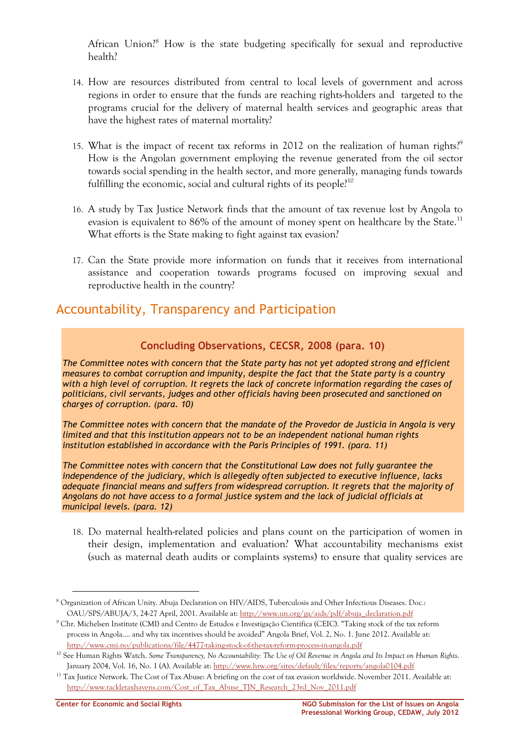African Union?<sup>8</sup> How is the state budgeting specifically for sexual and reproductive health?

- 14. How are resources distributed from central to local levels of government and across regions in order to ensure that the funds are reaching rights-holders and targeted to the programs crucial for the delivery of maternal health services and geographic areas that have the highest rates of maternal mortality?
- 15. What is the impact of recent tax reforms in 2012 on the realization of human rights.<sup>9</sup> How is the Angolan government employing the revenue generated from the oil sector towards social spending in the health sector, and more generally, managing funds towards fulfilling the economic, social and cultural rights of its people?<sup>10</sup>
- 16. A study by Tax Justice Network finds that the amount of tax revenue lost by Angola to evasion is equivalent to 86% of the amount of money spent on healthcare by the State.<sup>11</sup> What efforts is the State making to fight against tax evasion?
- 17. Can the State provide more information on funds that it receives from international assistance and cooperation towards programs focused on improving sexual and reproductive health in the country?

## Accountability, Transparency and Participation

### **Concluding Observations, CECSR, 2008 (para. 10)**

*The Committee notes with concern that the State party has not yet adopted strong and efficient measures to combat corruption and impunity, despite the fact that the State party is a country with a high level of corruption. It regrets the lack of concrete information regarding the cases of politicians, civil servants, judges and other officials having been prosecuted and sanctioned on charges of corruption. (para. 10)* 

*The Committee notes with concern that the mandate of the Provedor de Justicia in Angola is very limited and that this institution appears not to be an independent national human rights institution established in accordance with the Paris Principles of 1991. (para. 11)* 

*The Committee notes with concern that the Constitutional Law does not fully guarantee the independence of the judiciary, which is allegedly often subjected to executive influence, lacks adequate financial means and suffers from widespread corruption. It regrets that the majority of Angolans do not have access to a formal justice system and the lack of judicial officials at municipal levels. (para. 12)* 

18. Do maternal health-related policies and plans count on the participation of women in their design, implementation and evaluation? What accountability mechanisms exist (such as maternal death audits or complaints systems) to ensure that quality services are

<sup>&</sup>lt;sup>8</sup> Organization of African Unity. Abuja Declaration on HIV/AIDS, Tuberculosis and Other Infectious Diseases. Doc.: OAU/SPS/ABUJA/3, 24-27 April, 2001. Available at: http://www.un.org/ga/aids/pdf/abuja\_declaration.pdf

<sup>9</sup> Chr. Michelsen Institute (CMI) and Centro de Estudos e Investigação Científica (CEIC). "Taking stock of the tax reform process in Angola…. and why tax incentives should be avoided" Angola Brief, Vol. 2, No. 1. June 2012. Available at: http://www.cmi.no/publications/file/4477-taking-stock-of-the-tax-reform-process-in-angola.pdf

<sup>10</sup> See Human Rights Watch. *Some Transparency, No Accountability: The Use of Oil Revenue in Angola and Its Impact on Human Rights*. January 2004, Vol. 16, No. 1 (A). Available at: http://www.hrw.org/sites/default/files/reports/angola0104.pdf

<sup>&</sup>lt;sup>11</sup> Tax Justice Network. The Cost of Tax Abuse: A briefing on the cost of tax evasion worldwide. November 2011. Available at: http://www.tackletaxhavens.com/Cost\_of\_Tax\_Abuse\_TJN\_Research\_23rd\_Nov\_2011.pdf